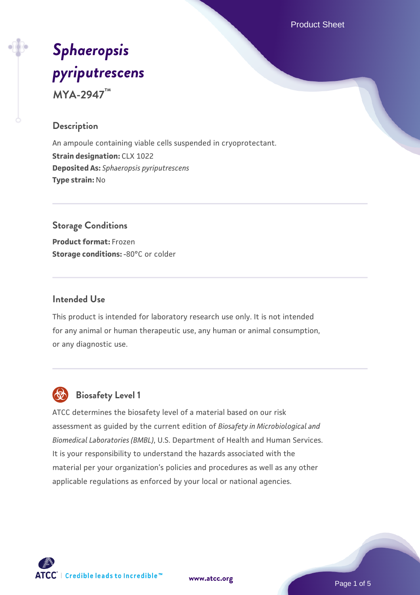Product Sheet

# *[Sphaeropsis](https://www.atcc.org/products/mya-2947) [pyriputrescens](https://www.atcc.org/products/mya-2947)* **MYA-2947™**

## **Description**

An ampoule containing viable cells suspended in cryoprotectant. **Strain designation:** CLX 1022 **Deposited As:** *Sphaeropsis pyriputrescens* **Type strain:** No

# **Storage Conditions Product format:** Frozen

**Storage conditions: -80°C or colder** 

#### **Intended Use**

This product is intended for laboratory research use only. It is not intended for any animal or human therapeutic use, any human or animal consumption, or any diagnostic use.



# **Biosafety Level 1**

ATCC determines the biosafety level of a material based on our risk assessment as guided by the current edition of *Biosafety in Microbiological and Biomedical Laboratories (BMBL)*, U.S. Department of Health and Human Services. It is your responsibility to understand the hazards associated with the material per your organization's policies and procedures as well as any other applicable regulations as enforced by your local or national agencies.



**[www.atcc.org](http://www.atcc.org)**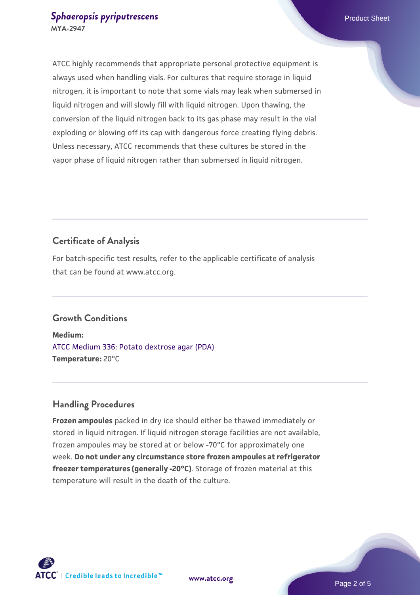#### **[Sphaeropsis pyriputrescens](https://www.atcc.org/products/mya-2947) Product Sheet** Product Sheet **MYA-2947**

ATCC highly recommends that appropriate personal protective equipment is always used when handling vials. For cultures that require storage in liquid nitrogen, it is important to note that some vials may leak when submersed in liquid nitrogen and will slowly fill with liquid nitrogen. Upon thawing, the conversion of the liquid nitrogen back to its gas phase may result in the vial exploding or blowing off its cap with dangerous force creating flying debris. Unless necessary, ATCC recommends that these cultures be stored in the vapor phase of liquid nitrogen rather than submersed in liquid nitrogen.

# **Certificate of Analysis**

For batch-specific test results, refer to the applicable certificate of analysis that can be found at www.atcc.org.

# **Growth Conditions**

**Medium:**  [ATCC Medium 336: Potato dextrose agar \(PDA\)](https://www.atcc.org/-/media/product-assets/documents/microbial-media-formulations/3/3/6/atcc-medium-336.pdf?rev=d9160ad44d934cd8b65175461abbf3b9) **Temperature:** 20°C

# **Handling Procedures**

**Frozen ampoules** packed in dry ice should either be thawed immediately or stored in liquid nitrogen. If liquid nitrogen storage facilities are not available, frozen ampoules may be stored at or below -70°C for approximately one week. **Do not under any circumstance store frozen ampoules at refrigerator freezer temperatures (generally -20°C)**. Storage of frozen material at this temperature will result in the death of the culture.



**[www.atcc.org](http://www.atcc.org)**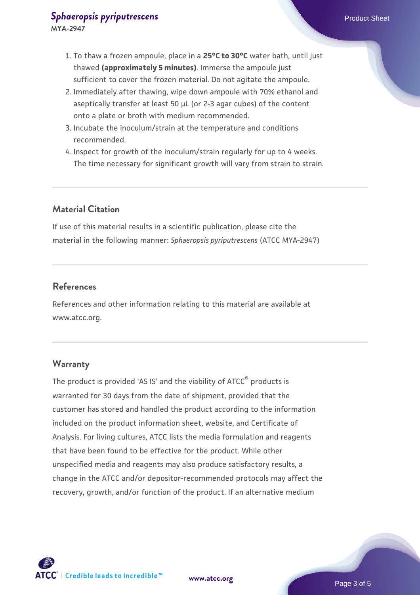- 2. Immediately after thawing, wipe down ampoule with 70% ethanol and aseptically transfer at least 50 µL (or 2-3 agar cubes) of the content onto a plate or broth with medium recommended.
- 3. Incubate the inoculum/strain at the temperature and conditions recommended.
- 4. Inspect for growth of the inoculum/strain regularly for up to 4 weeks. The time necessary for significant growth will vary from strain to strain.

# **Material Citation**

If use of this material results in a scientific publication, please cite the material in the following manner: *Sphaeropsis pyriputrescens* (ATCC MYA-2947)

#### **References**

References and other information relating to this material are available at www.atcc.org.

#### **Warranty**

The product is provided 'AS IS' and the viability of ATCC<sup>®</sup> products is warranted for 30 days from the date of shipment, provided that the customer has stored and handled the product according to the information included on the product information sheet, website, and Certificate of Analysis. For living cultures, ATCC lists the media formulation and reagents that have been found to be effective for the product. While other unspecified media and reagents may also produce satisfactory results, a change in the ATCC and/or depositor-recommended protocols may affect the recovery, growth, and/or function of the product. If an alternative medium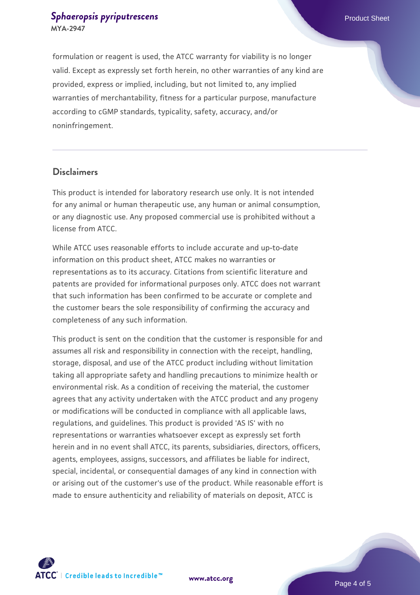#### **[Sphaeropsis pyriputrescens](https://www.atcc.org/products/mya-2947) Product Sheet** Product Sheet **MYA-2947**

formulation or reagent is used, the ATCC warranty for viability is no longer valid. Except as expressly set forth herein, no other warranties of any kind are provided, express or implied, including, but not limited to, any implied warranties of merchantability, fitness for a particular purpose, manufacture according to cGMP standards, typicality, safety, accuracy, and/or noninfringement.

#### **Disclaimers**

This product is intended for laboratory research use only. It is not intended for any animal or human therapeutic use, any human or animal consumption, or any diagnostic use. Any proposed commercial use is prohibited without a license from ATCC.

While ATCC uses reasonable efforts to include accurate and up-to-date information on this product sheet, ATCC makes no warranties or representations as to its accuracy. Citations from scientific literature and patents are provided for informational purposes only. ATCC does not warrant that such information has been confirmed to be accurate or complete and the customer bears the sole responsibility of confirming the accuracy and completeness of any such information.

This product is sent on the condition that the customer is responsible for and assumes all risk and responsibility in connection with the receipt, handling, storage, disposal, and use of the ATCC product including without limitation taking all appropriate safety and handling precautions to minimize health or environmental risk. As a condition of receiving the material, the customer agrees that any activity undertaken with the ATCC product and any progeny or modifications will be conducted in compliance with all applicable laws, regulations, and guidelines. This product is provided 'AS IS' with no representations or warranties whatsoever except as expressly set forth herein and in no event shall ATCC, its parents, subsidiaries, directors, officers, agents, employees, assigns, successors, and affiliates be liable for indirect, special, incidental, or consequential damages of any kind in connection with or arising out of the customer's use of the product. While reasonable effort is made to ensure authenticity and reliability of materials on deposit, ATCC is